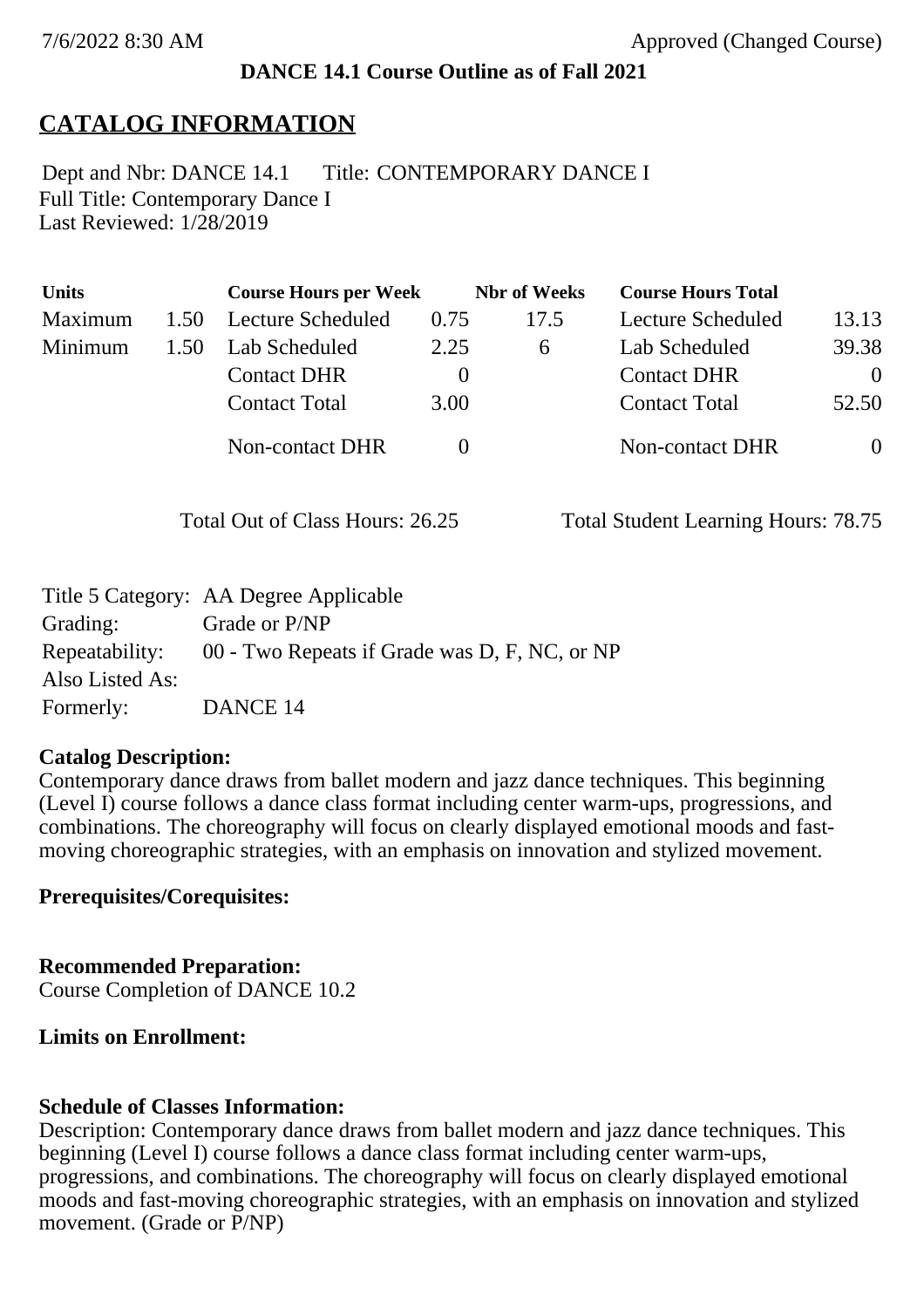## **DANCE 14.1 Course Outline as of Fall 2021**

# **CATALOG INFORMATION**

Full Title: Contemporary Dance I Last Reviewed: 1/28/2019 Dept and Nbr: DANCE 14.1 Title: CONTEMPORARY DANCE I

| <b>Units</b> |      | <b>Course Hours per Week</b> |          | <b>Nbr</b> of Weeks | <b>Course Hours Total</b> |          |
|--------------|------|------------------------------|----------|---------------------|---------------------------|----------|
| Maximum      | 1.50 | Lecture Scheduled            | 0.75     | 17.5                | Lecture Scheduled         | 13.13    |
| Minimum      | 1.50 | Lab Scheduled                | 2.25     | 6                   | Lab Scheduled             | 39.38    |
|              |      | <b>Contact DHR</b>           | $\theta$ |                     | <b>Contact DHR</b>        | $\Omega$ |
|              |      | <b>Contact Total</b>         | 3.00     |                     | <b>Contact Total</b>      | 52.50    |
|              |      | <b>Non-contact DHR</b>       |          |                     | Non-contact DHR           | $\theta$ |

Total Out of Class Hours: 26.25 Total Student Learning Hours: 78.75

|                 | Title 5 Category: AA Degree Applicable                       |
|-----------------|--------------------------------------------------------------|
| Grading:        | Grade or P/NP                                                |
|                 | Repeatability: 00 - Two Repeats if Grade was D, F, NC, or NP |
| Also Listed As: |                                                              |
| Formerly:       | DANCE 14                                                     |

#### **Catalog Description:**

Contemporary dance draws from ballet modern and jazz dance techniques. This beginning (Level I) course follows a dance class format including center warm-ups, progressions, and combinations. The choreography will focus on clearly displayed emotional moods and fastmoving choreographic strategies, with an emphasis on innovation and stylized movement.

### **Prerequisites/Corequisites:**

**Recommended Preparation:** Course Completion of DANCE 10.2

### **Limits on Enrollment:**

### **Schedule of Classes Information:**

Description: Contemporary dance draws from ballet modern and jazz dance techniques. This beginning (Level I) course follows a dance class format including center warm-ups, progressions, and combinations. The choreography will focus on clearly displayed emotional moods and fast-moving choreographic strategies, with an emphasis on innovation and stylized movement. (Grade or  $\overline{P}/\overline{NP}$ )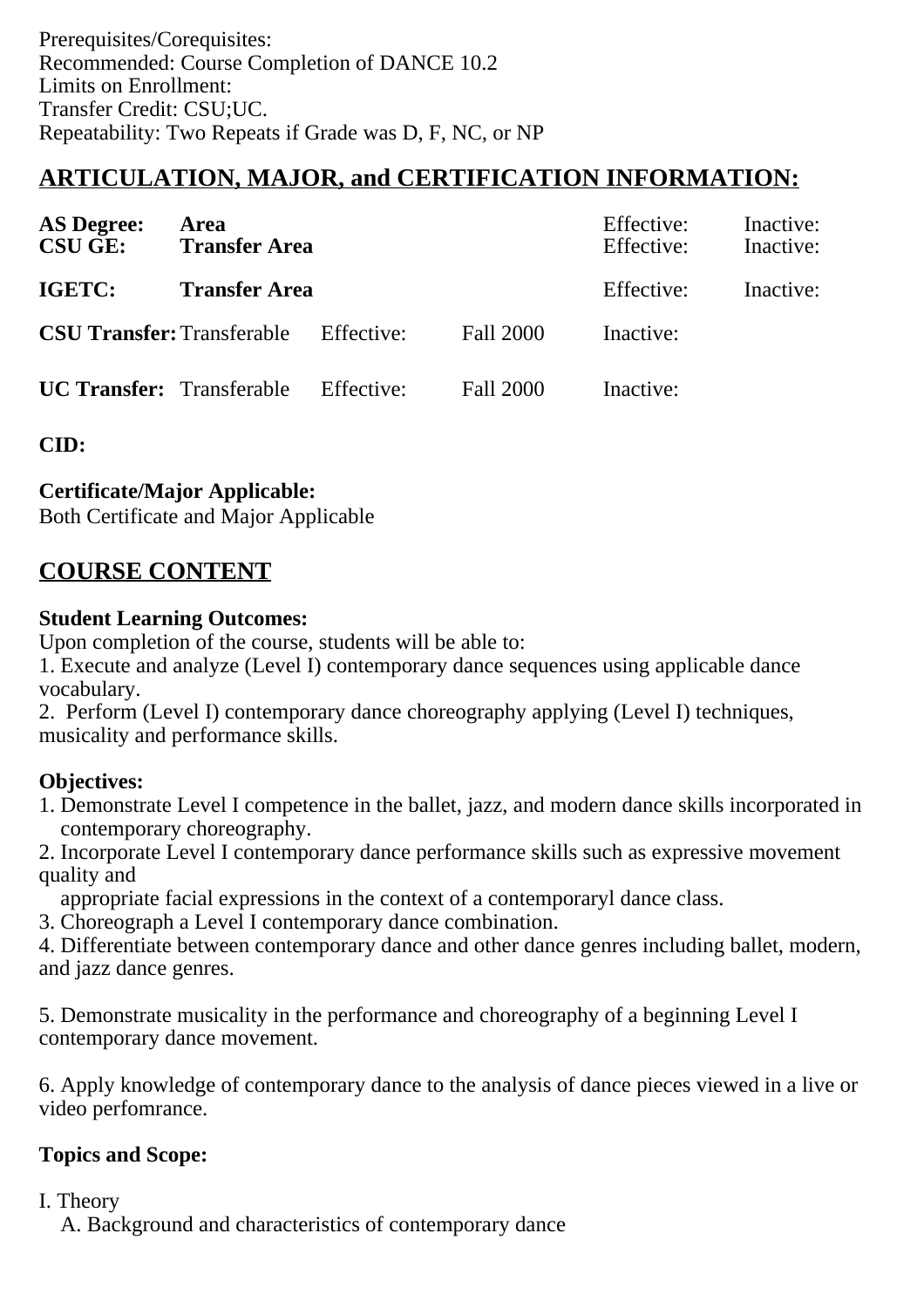# **ARTICULATION, MAJOR, and CERTIFICATION INFORMATION:**

| <b>AS Degree:</b><br><b>CSU GE:</b> | Area<br><b>Transfer Area</b>                 |  | Effective:<br>Effective: | Inactive:<br>Inactive: |  |
|-------------------------------------|----------------------------------------------|--|--------------------------|------------------------|--|
| <b>IGETC:</b>                       | <b>Transfer Area</b>                         |  | Effective:               | Inactive:              |  |
|                                     | <b>CSU Transfer:</b> Transferable Effective: |  | Fall 2000                | Inactive:              |  |
|                                     | <b>UC Transfer:</b> Transferable Effective:  |  | Fall 2000                | Inactive:              |  |

**CID:**

# **Certificate/Major Applicable:**

[Both Certificate and Major Applicable](SR_ClassCheck.aspx?CourseKey=DANCE14.1)

# **COURSE CONTENT**

## **Student Learning Outcomes:**

Upon completion of the course, students will be able to:

1. Execute and analyze (Level I) contemporary dance sequences using applicable dance vocabulary.

2. Perform (Level I) contemporary dance choreography applying (Level I) techniques, musicality and performance skills.

# **Objectives:**

- 1. Demonstrate Level I competence in the ballet, jazz, and modern dance skills incorporated in contemporary choreography.
- 2. Incorporate Level I contemporary dance performance skills such as expressive movement quality and

appropriate facial expressions in the context of a contemporaryl dance class.

3. Choreograph a Level I contemporary dance combination.

4. Differentiate between contemporary dance and other dance genres including ballet, modern, and jazz dance genres.

5. Demonstrate musicality in the performance and choreography of a beginning Level I contemporary dance movement.

6. Apply knowledge of contemporary dance to the analysis of dance pieces viewed in a live or video perfomrance.

# **Topics and Scope:**

### I. Theory

A. Background and characteristics of contemporary dance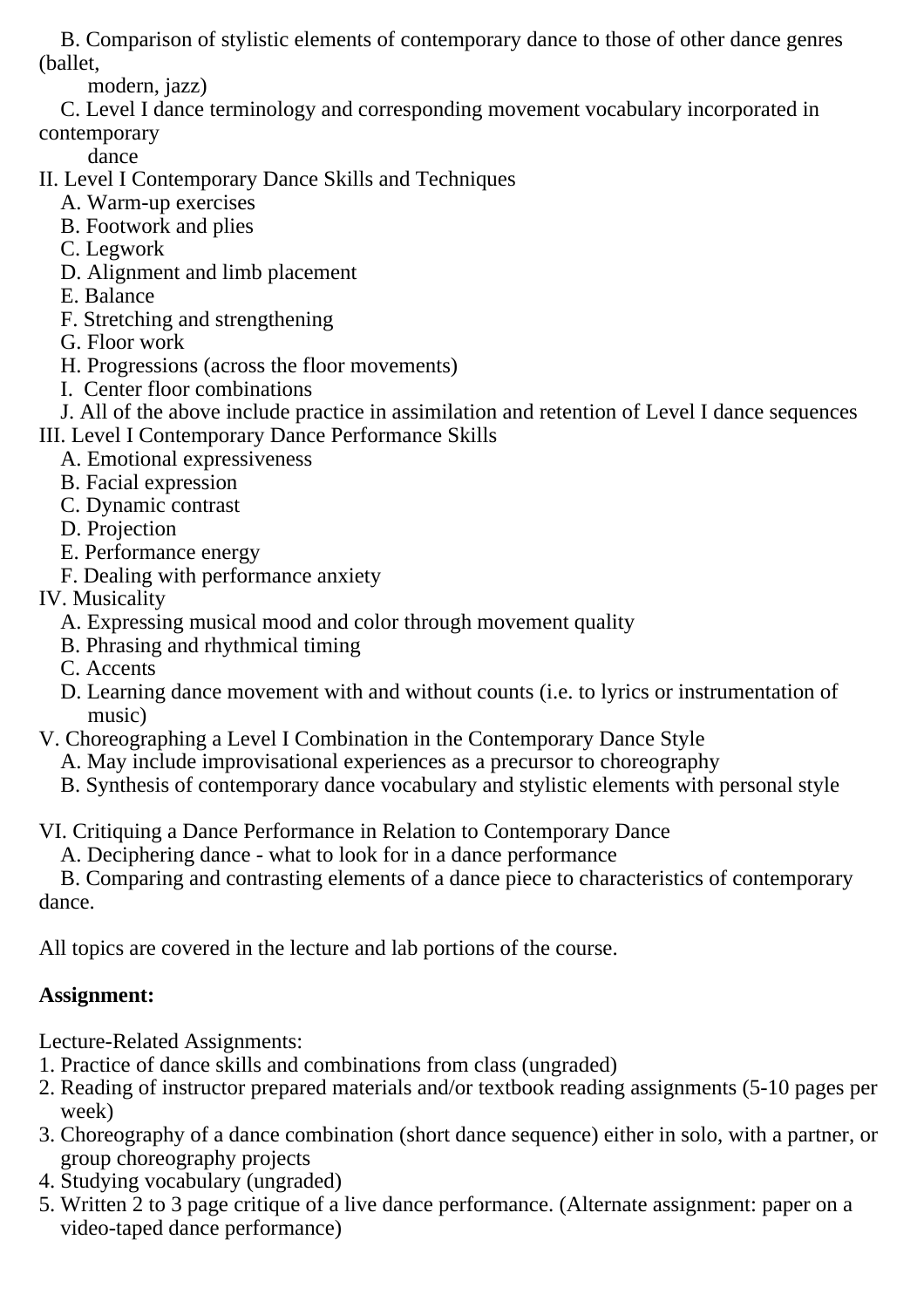B. Comparison of stylistic elements of contemporary dance to those of other dance genres (ballet,

modern, jazz)

 C. Level I dance terminology and corresponding movement vocabulary incorporated in contemporary

dance

- II. Level I Contemporary Dance Skills and Techniques
	- A. Warm-up exercises
	- B. Footwork and plies
	- C. Legwork
	- D. Alignment and limb placement
	- E. Balance
	- F. Stretching and strengthening
	- G. Floor work
	- H. Progressions (across the floor movements)
	- I. Center floor combinations

 J. All of the above include practice in assimilation and retention of Level I dance sequences III. Level I Contemporary Dance Performance Skills

- A. Emotional expressiveness
- B. Facial expression
- C. Dynamic contrast
- D. Projection
- E. Performance energy
- F. Dealing with performance anxiety
- IV. Musicality
	- A. Expressing musical mood and color through movement quality
	- B. Phrasing and rhythmical timing
	- C. Accents
	- D. Learning dance movement with and without counts (i.e. to lyrics or instrumentation of music)
- V. Choreographing a Level I Combination in the Contemporary Dance Style
	- A. May include improvisational experiences as a precursor to choreography
	- B. Synthesis of contemporary dance vocabulary and stylistic elements with personal style

VI. Critiquing a Dance Performance in Relation to Contemporary Dance

A. Deciphering dance - what to look for in a dance performance

 B. Comparing and contrasting elements of a dance piece to characteristics of contemporary dance.

All topics are covered in the lecture and lab portions of the course.

# **Assignment:**

Lecture-Related Assignments:

- 1. Practice of dance skills and combinations from class (ungraded)
- 2. Reading of instructor prepared materials and/or textbook reading assignments (5-10 pages per week)
- 3. Choreography of a dance combination (short dance sequence) either in solo, with a partner, or group choreography projects
- 4. Studying vocabulary (ungraded)
- 5. Written 2 to 3 page critique of a live dance performance. (Alternate assignment: paper on a video-taped dance performance)